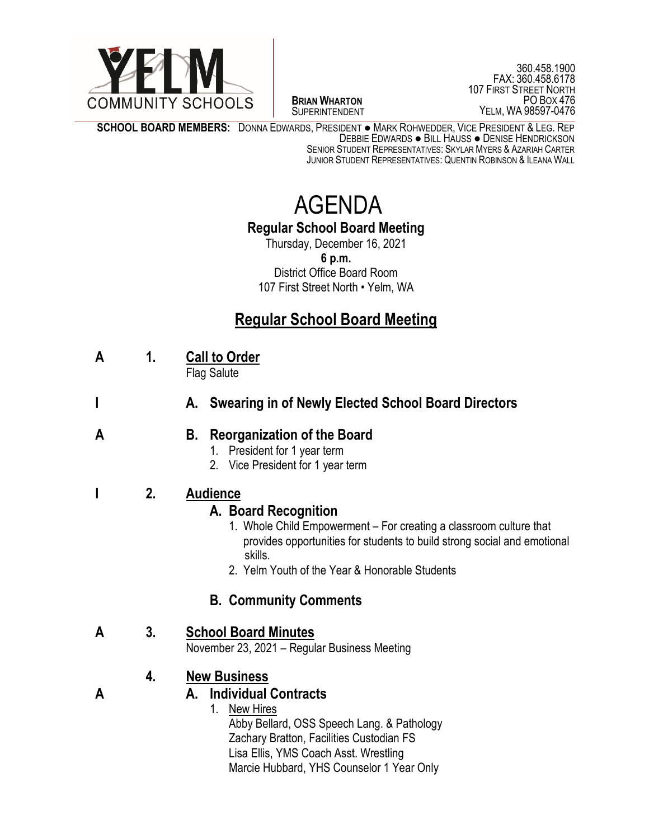

 $\overline{a}$ **BRIAN WHARTON** SUPERINTENDENT

360.458.1900 FAX: 360.458.6178 107 FIRST STREET NORTH PO BOX 476 YELM, WA 98597-0476

**SCHOOL BOARD MEMBERS:** DONNA EDWARDS, PRESIDENT ● MARK ROHWEDDER, VICE PRESIDENT & LEG. REP DEBBIE EDWARDS ● BILL HAUSS ● DENISE HENDRICKSON SENIOR STUDENT REPRESENTATIVES: SKYLAR MYERS & AZARIAH CARTER JUNIOR STUDENT REPRESENTATIVES: QUENTIN ROBINSON & ILEANA WALL

# AGENDA

### **Regular School Board Meeting**

Thursday, December 16, 2021 **6 p.m.** District Office Board Room 107 First Street North • Yelm, WA

# **Regular School Board Meeting**

**A 1. Call to Order**

Flag Salute

**I A. Swearing in of Newly Elected School Board Directors**

#### **A B. Reorganization of the Board**

- 1. President for 1 year term
- 2. Vice President for 1 year term

#### **I 2. Audience**

# **A. Board Recognition**

- 1.Whole Child Empowerment For creating a classroom culture that provides opportunities for students to build strong social and emotional skills.
- 2. Yelm Youth of the Year & Honorable Students

# **B. Community Comments**

#### **A 3. School Board Minutes**

November 23, 2021 – Regular Business Meeting

# **4. New Business**

#### **A A. Individual Contracts**

1. New Hires Abby Bellard, OSS Speech Lang. & Pathology Zachary Bratton, Facilities Custodian FS Lisa Ellis, YMS Coach Asst. Wrestling Marcie Hubbard, YHS Counselor 1 Year Only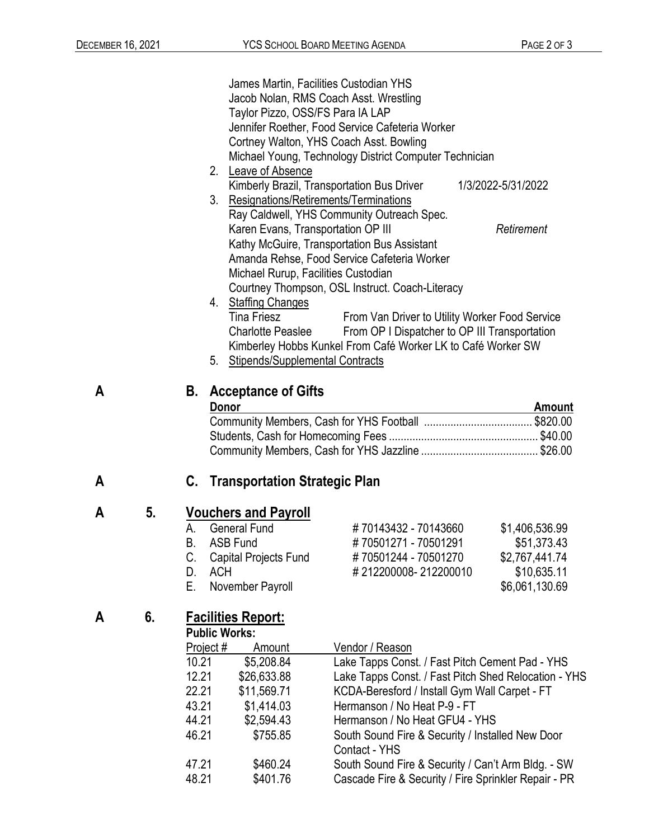|                                                                                                                                                                |                                                                                              | 1/3/2022-5/31/2022                                                                                                                                                                                                                                                                                                                                                                                                                                                                                                                                                                                                                                                                                                                                                                                                                                                                                                                                                                                                                                                                                                                           |
|----------------------------------------------------------------------------------------------------------------------------------------------------------------|----------------------------------------------------------------------------------------------|----------------------------------------------------------------------------------------------------------------------------------------------------------------------------------------------------------------------------------------------------------------------------------------------------------------------------------------------------------------------------------------------------------------------------------------------------------------------------------------------------------------------------------------------------------------------------------------------------------------------------------------------------------------------------------------------------------------------------------------------------------------------------------------------------------------------------------------------------------------------------------------------------------------------------------------------------------------------------------------------------------------------------------------------------------------------------------------------------------------------------------------------|
| 3.                                                                                                                                                             |                                                                                              | Retirement                                                                                                                                                                                                                                                                                                                                                                                                                                                                                                                                                                                                                                                                                                                                                                                                                                                                                                                                                                                                                                                                                                                                   |
| Tina Friesz<br>5.                                                                                                                                              |                                                                                              |                                                                                                                                                                                                                                                                                                                                                                                                                                                                                                                                                                                                                                                                                                                                                                                                                                                                                                                                                                                                                                                                                                                                              |
| В.<br>Donor                                                                                                                                                    | <b>Acceptance of Gifts</b><br><b>Amount</b>                                                  |                                                                                                                                                                                                                                                                                                                                                                                                                                                                                                                                                                                                                                                                                                                                                                                                                                                                                                                                                                                                                                                                                                                                              |
| C.                                                                                                                                                             |                                                                                              |                                                                                                                                                                                                                                                                                                                                                                                                                                                                                                                                                                                                                                                                                                                                                                                                                                                                                                                                                                                                                                                                                                                                              |
| <b>Vouchers and Payroll</b><br><b>General Fund</b><br>А.<br>В.<br><b>ASB Fund</b><br>Capital Projects Fund<br>C.<br>D.<br><b>ACH</b><br>Е.<br>November Payroll | #70143432 - 70143660<br>#70501271 - 70501291<br>#70501244 - 70501270<br>#212200008-212200010 | \$1,406,536.99<br>\$51,373.43<br>\$2,767,441.74<br>\$10,635.11<br>\$6,061,130.69                                                                                                                                                                                                                                                                                                                                                                                                                                                                                                                                                                                                                                                                                                                                                                                                                                                                                                                                                                                                                                                             |
| <u>Facilities Report:</u><br><b>Public Works:</b><br>Project #<br>Amount<br>10.21<br>\$5,208.84<br>12.21<br>\$26,633.88<br>22.21<br>\$11,569.71                | Vendor / Reason                                                                              |                                                                                                                                                                                                                                                                                                                                                                                                                                                                                                                                                                                                                                                                                                                                                                                                                                                                                                                                                                                                                                                                                                                                              |
|                                                                                                                                                                | 2.<br>Leave of Absence<br>4. Staffing Changes                                                | James Martin, Facilities Custodian YHS<br>Jacob Nolan, RMS Coach Asst. Wrestling<br>Taylor Pizzo, OSS/FS Para IA LAP<br>Jennifer Roether, Food Service Cafeteria Worker<br>Cortney Walton, YHS Coach Asst. Bowling<br>Michael Young, Technology District Computer Technician<br>Kimberly Brazil, Transportation Bus Driver<br>Resignations/Retirements/Terminations<br>Ray Caldwell, YHS Community Outreach Spec.<br>Karen Evans, Transportation OP III<br>Kathy McGuire, Transportation Bus Assistant<br>Amanda Rehse, Food Service Cafeteria Worker<br>Michael Rurup, Facilities Custodian<br>Courtney Thompson, OSL Instruct. Coach-Literacy<br>From Van Driver to Utility Worker Food Service<br>From OP I Dispatcher to OP III Transportation<br><b>Charlotte Peaslee</b><br>Kimberley Hobbs Kunkel From Café Worker LK to Café Worker SW<br>Stipends/Supplemental Contracts<br><b>Transportation Strategic Plan</b><br>Lake Tapps Const. / Fast Pitch Cement Pad - YHS<br>Lake Tapps Const. / Fast Pitch Shed Relocation - YHS<br>KCDA-Beresford / Install Gym Wall Carpet - FT<br>43.21<br>\$1,414.03<br>Hermanson / No Heat P-9 - FT |

# **A 6. Facilities Report:**